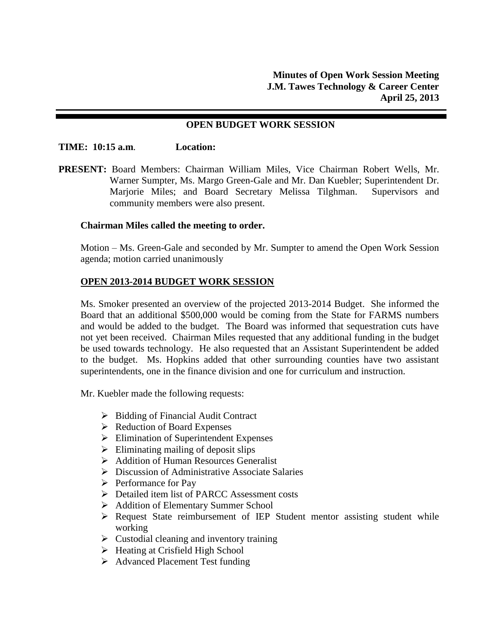#### **OPEN BUDGET WORK SESSION**

#### **TIME: 10:15 a.m**. **Location:**

**PRESENT:** Board Members: Chairman William Miles, Vice Chairman Robert Wells, Mr. Warner Sumpter, Ms. Margo Green-Gale and Mr. Dan Kuebler; Superintendent Dr. Marjorie Miles; and Board Secretary Melissa Tilghman. Supervisors and community members were also present.

#### **Chairman Miles called the meeting to order.**

Motion – Ms. Green-Gale and seconded by Mr. Sumpter to amend the Open Work Session agenda; motion carried unanimously

#### **OPEN 2013-2014 BUDGET WORK SESSION**

Ms. Smoker presented an overview of the projected 2013-2014 Budget. She informed the Board that an additional \$500,000 would be coming from the State for FARMS numbers and would be added to the budget. The Board was informed that sequestration cuts have not yet been received. Chairman Miles requested that any additional funding in the budget be used towards technology. He also requested that an Assistant Superintendent be added to the budget. Ms. Hopkins added that other surrounding counties have two assistant superintendents, one in the finance division and one for curriculum and instruction.

Mr. Kuebler made the following requests:

- $\triangleright$  Bidding of Financial Audit Contract
- $\triangleright$  Reduction of Board Expenses
- Elimination of Superintendent Expenses
- $\triangleright$  Eliminating mailing of deposit slips
- Addition of Human Resources Generalist
- Discussion of Administrative Associate Salaries
- $\triangleright$  Performance for Pay
- **Detailed item list of PARCC Assessment costs**
- Addition of Elementary Summer School
- $\triangleright$  Request State reimbursement of IEP Student mentor assisting student while working
- $\triangleright$  Custodial cleaning and inventory training
- $\triangleright$  Heating at Crisfield High School
- Advanced Placement Test funding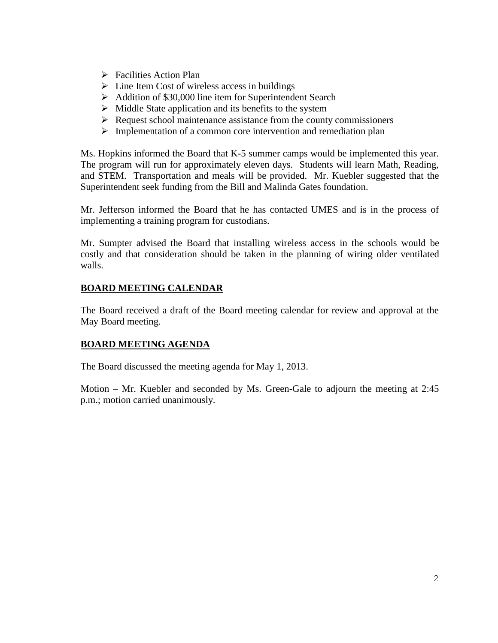- $\triangleright$  Facilities Action Plan
- $\triangleright$  Line Item Cost of wireless access in buildings
- $\triangleright$  Addition of \$30,000 line item for Superintendent Search
- $\triangleright$  Middle State application and its benefits to the system
- $\triangleright$  Request school maintenance assistance from the county commissioners
- $\triangleright$  Implementation of a common core intervention and remediation plan

Ms. Hopkins informed the Board that K-5 summer camps would be implemented this year. The program will run for approximately eleven days. Students will learn Math, Reading, and STEM. Transportation and meals will be provided. Mr. Kuebler suggested that the Superintendent seek funding from the Bill and Malinda Gates foundation.

Mr. Jefferson informed the Board that he has contacted UMES and is in the process of implementing a training program for custodians.

Mr. Sumpter advised the Board that installing wireless access in the schools would be costly and that consideration should be taken in the planning of wiring older ventilated walls.

# **BOARD MEETING CALENDAR**

The Board received a draft of the Board meeting calendar for review and approval at the May Board meeting.

## **BOARD MEETING AGENDA**

The Board discussed the meeting agenda for May 1, 2013.

Motion – Mr. Kuebler and seconded by Ms. Green-Gale to adjourn the meeting at 2:45 p.m.; motion carried unanimously.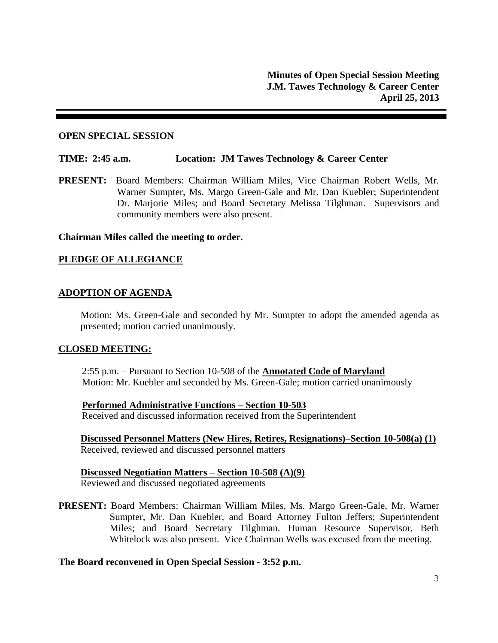#### **OPEN SPECIAL SESSION**

#### **TIME: 2:45 a.m. Location: JM Tawes Technology & Career Center**

**PRESENT:** Board Members: Chairman William Miles, Vice Chairman Robert Wells, Mr. Warner Sumpter, Ms. Margo Green-Gale and Mr. Dan Kuebler; Superintendent Dr. Marjorie Miles; and Board Secretary Melissa Tilghman. Supervisors and community members were also present.

#### **Chairman Miles called the meeting to order.**

## **PLEDGE OF ALLEGIANCE**

## **ADOPTION OF AGENDA**

Motion: Ms. Green-Gale and seconded by Mr. Sumpter to adopt the amended agenda as presented; motion carried unanimously.

#### **CLOSED MEETING:**

2:55 p.m. – Pursuant to Section 10-508 of the **Annotated Code of Maryland** Motion: Mr. Kuebler and seconded by Ms. Green-Gale; motion carried unanimously

# **Performed Administrative Functions – Section 10-503**

Received and discussed information received from the Superintendent

**Discussed Personnel Matters (New Hires, Retires, Resignations)–Section 10-508(a) (1)** Received, reviewed and discussed personnel matters

#### **Discussed Negotiation Matters – Section 10-508 (A)(9)** Reviewed and discussed negotiated agreements

**PRESENT:** Board Members: Chairman William Miles, Ms. Margo Green-Gale, Mr. Warner Sumpter, Mr. Dan Kuebler, and Board Attorney Fulton Jeffers; Superintendent Miles; and Board Secretary Tilghman. Human Resource Supervisor, Beth Whitelock was also present. Vice Chairman Wells was excused from the meeting.

#### **The Board reconvened in Open Special Session - 3:52 p.m.**